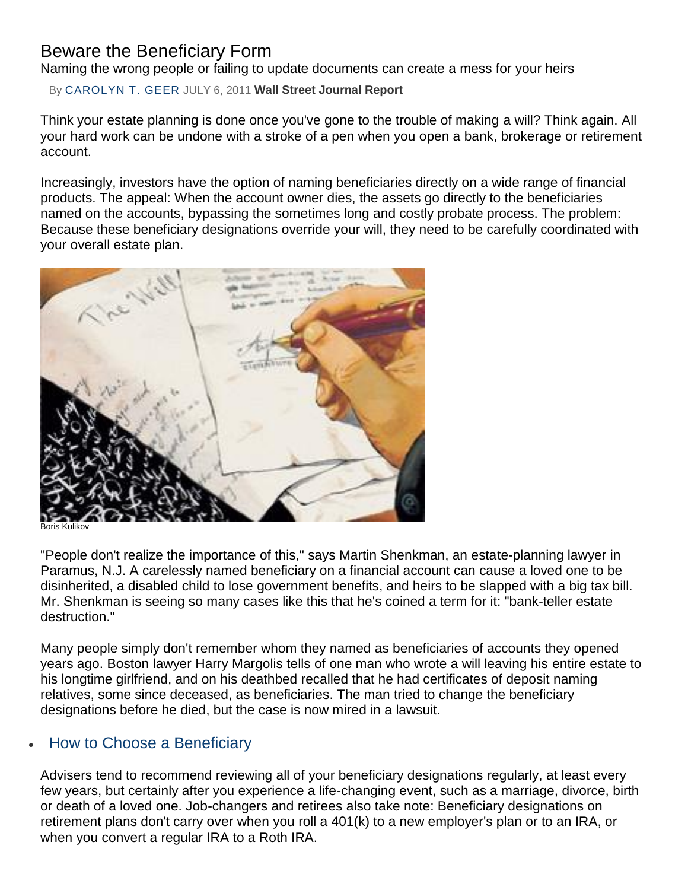# Beware the Beneficiary Form

Naming the wrong people or failing to update documents can create a mess for your heirs

By [CAROLYN T. GEER](http://online.wsj.com/search/term.html?KEYWORDS=CAROLYN+T.+GEER&bylinesearch=true) JULY 6, 2011 **Wall Street Journal Report**

Think your estate planning is done once you've gone to the trouble of making a will? Think again. All your hard work can be undone with a stroke of a pen when you open a bank, brokerage or retirement account.

Increasingly, investors have the option of naming beneficiaries directly on a wide range of financial products. The appeal: When the account owner dies, the assets go directly to the beneficiaries named on the accounts, bypassing the sometimes long and costly probate process. The problem: Because these beneficiary designations override your will, they need to be carefully coordinated with your overall estate plan.



Boris Kulikov

"People don't realize the importance of this," says Martin Shenkman, an estate-planning lawyer in Paramus, N.J. A carelessly named beneficiary on a financial account can cause a loved one to be disinherited, a disabled child to lose government benefits, and heirs to be slapped with a big tax bill. Mr. Shenkman is seeing so many cases like this that he's coined a term for it: "bank-teller estate destruction."

Many people simply don't remember whom they named as beneficiaries of accounts they opened years ago. Boston lawyer Harry Margolis tells of one man who wrote a will leaving his entire estate to his longtime girlfriend, and on his deathbed recalled that he had certificates of deposit naming relatives, some since deceased, as beneficiaries. The man tried to change the beneficiary designations before he died, but the case is now mired in a lawsuit.

## [How to Choose a Beneficiary](http://www.smartmoney.com/taxes/estate/how-to-choose-a-beneficiary-1304670957977/)

Advisers tend to recommend reviewing all of your beneficiary designations regularly, at least every few years, but certainly after you experience a life-changing event, such as a marriage, divorce, birth or death of a loved one. Job-changers and retirees also take note: Beneficiary designations on retirement plans don't carry over when you roll a 401(k) to a new employer's plan or to an IRA, or when you convert a regular IRA to a Roth IRA.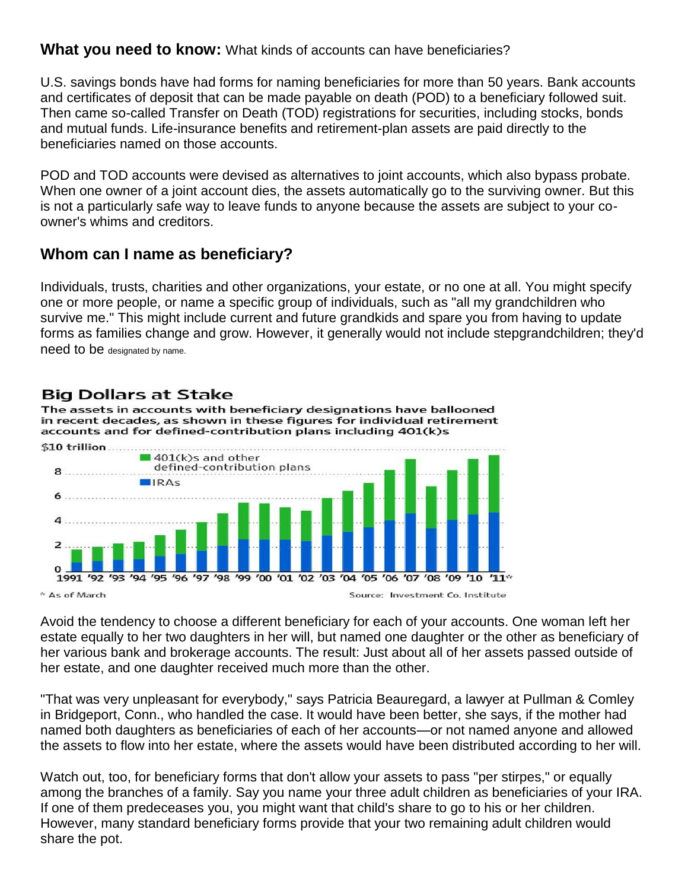#### **What you need to know:** What kinds of accounts can have beneficiaries?

U.S. savings bonds have had forms for naming beneficiaries for more than 50 years. Bank accounts and certificates of deposit that can be made payable on death (POD) to a beneficiary followed suit. Then came so-called Transfer on Death (TOD) registrations for securities, including stocks, bonds and mutual funds. Life-insurance benefits and retirement-plan assets are paid directly to the beneficiaries named on those accounts.

POD and TOD accounts were devised as alternatives to joint accounts, which also bypass probate. When one owner of a joint account dies, the assets automatically go to the surviving owner. But this is not a particularly safe way to leave funds to anyone because the assets are subject to your coowner's whims and creditors.

### **Whom can I name as beneficiary?**

Individuals, trusts, charities and other organizations, your estate, or no one at all. You might specify one or more people, or name a specific group of individuals, such as "all my grandchildren who survive me." This might include current and future grandkids and spare you from having to update forms as families change and grow. However, it generally would not include stepgrandchildren; they'd need to be designated by name.

#### **Big Dollars at Stake**

The assets in accounts with beneficiary designations have ballooned in recent decades, as shown in these figures for individual retirement accounts and for defined-contribution plans including 401(k)s



Avoid the tendency to choose a different beneficiary for each of your accounts. One woman left her estate equally to her two daughters in her will, but named one daughter or the other as beneficiary of her various bank and brokerage accounts. The result: Just about all of her assets passed outside of her estate, and one daughter received much more than the other.

"That was very unpleasant for everybody," says Patricia Beauregard, a lawyer at Pullman & Comley in Bridgeport, Conn., who handled the case. It would have been better, she says, if the mother had named both daughters as beneficiaries of each of her accounts—or not named anyone and allowed the assets to flow into her estate, where the assets would have been distributed according to her will.

Watch out, too, for beneficiary forms that don't allow your assets to pass "per stirpes," or equally among the branches of a family. Say you name your three adult children as beneficiaries of your IRA. If one of them predeceases you, you might want that child's share to go to his or her children. However, many standard beneficiary forms provide that your two remaining adult children would share the pot.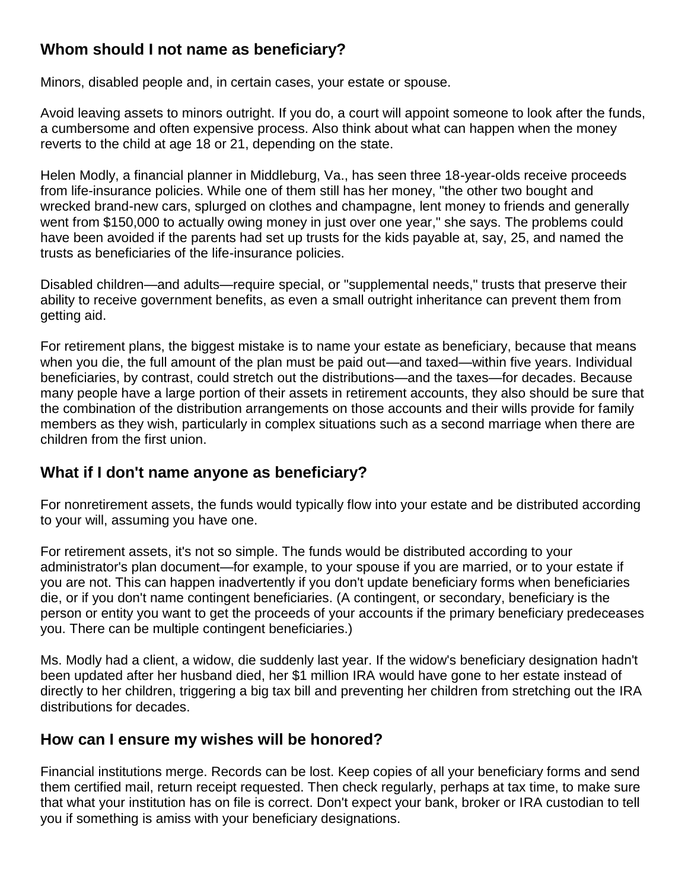## **Whom should I not name as beneficiary?**

Minors, disabled people and, in certain cases, your estate or spouse.

Avoid leaving assets to minors outright. If you do, a court will appoint someone to look after the funds, a cumbersome and often expensive process. Also think about what can happen when the money reverts to the child at age 18 or 21, depending on the state.

Helen Modly, a financial planner in Middleburg, Va., has seen three 18-year-olds receive proceeds from life-insurance policies. While one of them still has her money, "the other two bought and wrecked brand-new cars, splurged on clothes and champagne, lent money to friends and generally went from \$150,000 to actually owing money in just over one year," she says. The problems could have been avoided if the parents had set up trusts for the kids payable at, say, 25, and named the trusts as beneficiaries of the life-insurance policies.

Disabled children—and adults—require special, or "supplemental needs," trusts that preserve their ability to receive government benefits, as even a small outright inheritance can prevent them from getting aid.

For retirement plans, the biggest mistake is to name your estate as beneficiary, because that means when you die, the full amount of the plan must be paid out—and taxed—within five years. Individual beneficiaries, by contrast, could stretch out the distributions—and the taxes—for decades. Because many people have a large portion of their assets in retirement accounts, they also should be sure that the combination of the distribution arrangements on those accounts and their wills provide for family members as they wish, particularly in complex situations such as a second marriage when there are children from the first union.

## **What if I don't name anyone as beneficiary?**

For nonretirement assets, the funds would typically flow into your estate and be distributed according to your will, assuming you have one.

For retirement assets, it's not so simple. The funds would be distributed according to your administrator's plan document—for example, to your spouse if you are married, or to your estate if you are not. This can happen inadvertently if you don't update beneficiary forms when beneficiaries die, or if you don't name contingent beneficiaries. (A contingent, or secondary, beneficiary is the person or entity you want to get the proceeds of your accounts if the primary beneficiary predeceases you. There can be multiple contingent beneficiaries.)

Ms. Modly had a client, a widow, die suddenly last year. If the widow's beneficiary designation hadn't been updated after her husband died, her \$1 million IRA would have gone to her estate instead of directly to her children, triggering a big tax bill and preventing her children from stretching out the IRA distributions for decades.

## **How can I ensure my wishes will be honored?**

Financial institutions merge. Records can be lost. Keep copies of all your beneficiary forms and send them certified mail, return receipt requested. Then check regularly, perhaps at tax time, to make sure that what your institution has on file is correct. Don't expect your bank, broker or IRA custodian to tell you if something is amiss with your beneficiary designations.